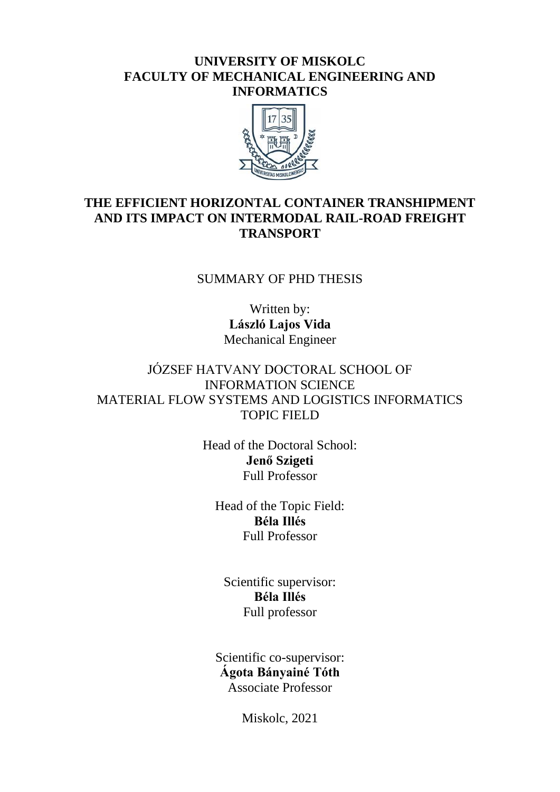#### **UNIVERSITY OF MISKOLC FACULTY OF MECHANICAL ENGINEERING AND INFORMATICS**



## **THE EFFICIENT HORIZONTAL CONTAINER TRANSHIPMENT AND ITS IMPACT ON INTERMODAL RAIL-ROAD FREIGHT TRANSPORT**

#### SUMMARY OF PHD THESIS

Written by: **László Lajos Vida** Mechanical Engineer

## JÓZSEF HATVANY DOCTORAL SCHOOL OF INFORMATION SCIENCE MATERIAL FLOW SYSTEMS AND LOGISTICS INFORMATICS TOPIC FIELD

Head of the Doctoral School: **Jenő Szigeti** Full Professor

Head of the Topic Field: **Béla Illés** Full Professor

Scientific supervisor: **Béla Illés** Full professor

Scientific co-supervisor: **Ágota Bányainé Tóth** Associate Professor

Miskolc, 2021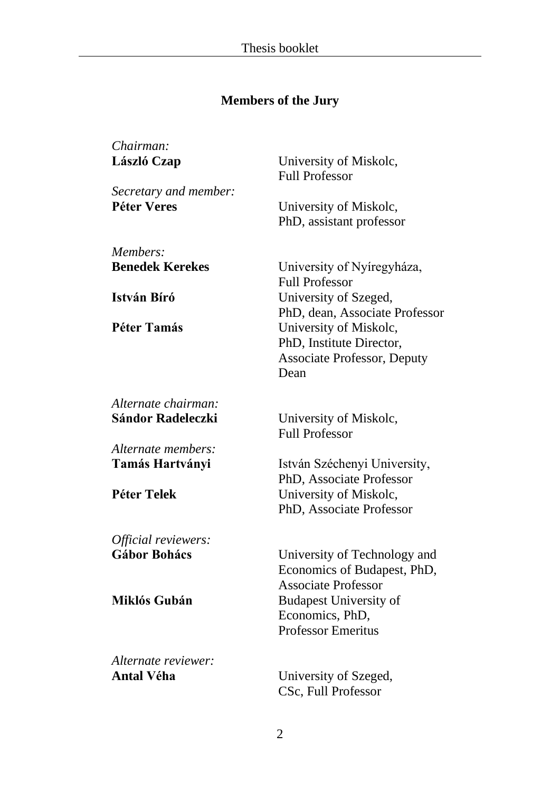# **Members of the Jury**

| Chairman:                  |                                                                                                  |
|----------------------------|--------------------------------------------------------------------------------------------------|
| László Czap                | University of Miskolc,<br><b>Full Professor</b>                                                  |
| Secretary and member:      |                                                                                                  |
| <b>Péter Veres</b>         | University of Miskolc,<br>PhD, assistant professor                                               |
| Members:                   |                                                                                                  |
| <b>Benedek Kerekes</b>     | University of Nyíregyháza,<br><b>Full Professor</b>                                              |
| István Bíró                | University of Szeged,<br>PhD, dean, Associate Professor                                          |
| Péter Tamás                | University of Miskolc,<br>PhD, Institute Director,<br><b>Associate Professor, Deputy</b><br>Dean |
| Alternate chairman:        |                                                                                                  |
| <b>Sándor Radeleczki</b>   | University of Miskolc,<br><b>Full Professor</b>                                                  |
| Alternate members:         |                                                                                                  |
| Tamás Hartványi            | István Széchenyi University,<br>PhD, Associate Professor                                         |
| Péter Telek                | University of Miskolc,<br>PhD, Associate Professor                                               |
| <i>Official reviewers:</i> |                                                                                                  |
| <b>Gábor Bohács</b>        | University of Technology and<br>Economics of Budapest, PhD,<br><b>Associate Professor</b>        |
| Miklós Gubán               | <b>Budapest University of</b><br>Economics, PhD,<br><b>Professor Emeritus</b>                    |
| Alternate reviewer:        |                                                                                                  |

Antal Véha **University of Szeged**, CSc, Full Professor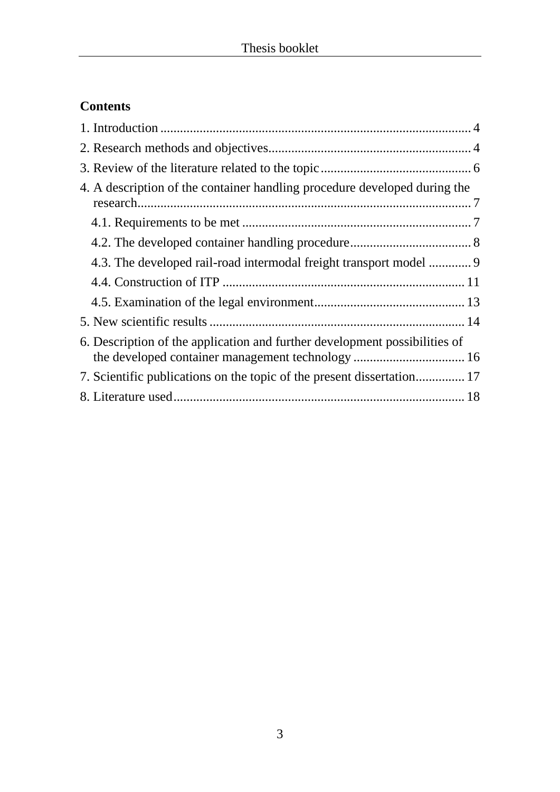# **Contents**

| 4. A description of the container handling procedure developed during the  |  |
|----------------------------------------------------------------------------|--|
|                                                                            |  |
|                                                                            |  |
| 4.3. The developed rail-road intermodal freight transport model  9         |  |
|                                                                            |  |
|                                                                            |  |
|                                                                            |  |
| 6. Description of the application and further development possibilities of |  |
| 7. Scientific publications on the topic of the present dissertation 17     |  |
|                                                                            |  |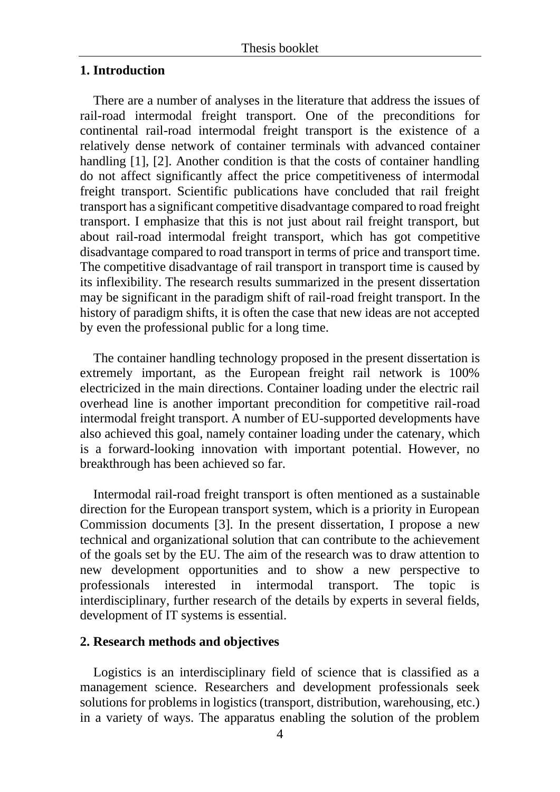#### **1. Introduction**

There are a number of analyses in the literature that address the issues of rail-road intermodal freight transport. One of the preconditions for continental rail-road intermodal freight transport is the existence of a relatively dense network of container terminals with advanced container handling [1], [2]. Another condition is that the costs of container handling do not affect significantly affect the price competitiveness of intermodal freight transport. Scientific publications have concluded that rail freight transport has a significant competitive disadvantage compared to road freight transport. I emphasize that this is not just about rail freight transport, but about rail-road intermodal freight transport, which has got competitive disadvantage compared to road transport in terms of price and transport time. The competitive disadvantage of rail transport in transport time is caused by its inflexibility. The research results summarized in the present dissertation may be significant in the paradigm shift of rail-road freight transport. In the history of paradigm shifts, it is often the case that new ideas are not accepted by even the professional public for a long time.

The container handling technology proposed in the present dissertation is extremely important, as the European freight rail network is 100% electricized in the main directions. Container loading under the electric rail overhead line is another important precondition for competitive rail-road intermodal freight transport. A number of EU-supported developments have also achieved this goal, namely container loading under the catenary, which is a forward-looking innovation with important potential. However, no breakthrough has been achieved so far.

Intermodal rail-road freight transport is often mentioned as a sustainable direction for the European transport system, which is a priority in European Commission documents [3]. In the present dissertation, I propose a new technical and organizational solution that can contribute to the achievement of the goals set by the EU. The aim of the research was to draw attention to new development opportunities and to show a new perspective to professionals interested in intermodal transport. The topic interdisciplinary, further research of the details by experts in several fields, development of IT systems is essential.

#### **2. Research methods and objectives**

Logistics is an interdisciplinary field of science that is classified as a management science. Researchers and development professionals seek solutions for problems in logistics (transport, distribution, warehousing, etc.) in a variety of ways. The apparatus enabling the solution of the problem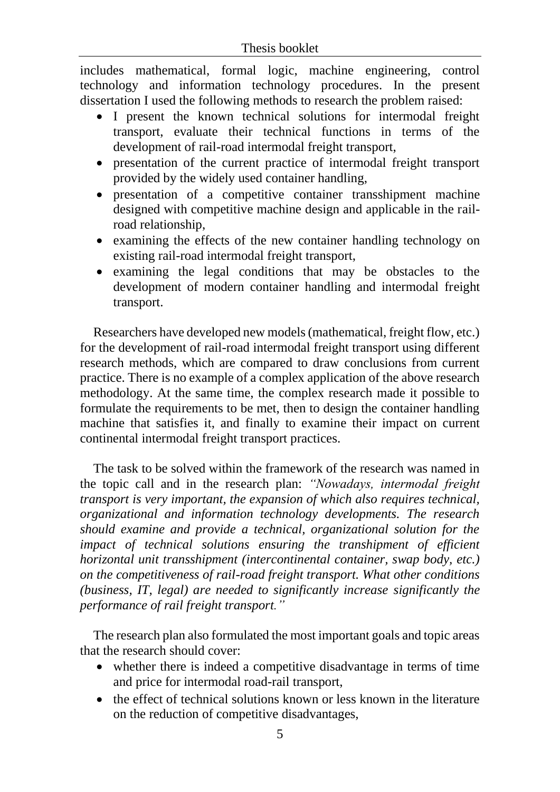includes mathematical, formal logic, machine engineering, control technology and information technology procedures. In the present dissertation I used the following methods to research the problem raised:

- I present the known technical solutions for intermodal freight transport, evaluate their technical functions in terms of the development of rail-road intermodal freight transport,
- presentation of the current practice of intermodal freight transport provided by the widely used container handling,
- presentation of a competitive container transshipment machine designed with competitive machine design and applicable in the railroad relationship,
- examining the effects of the new container handling technology on existing rail-road intermodal freight transport,
- examining the legal conditions that may be obstacles to the development of modern container handling and intermodal freight transport.

Researchers have developed new models (mathematical, freight flow, etc.) for the development of rail-road intermodal freight transport using different research methods, which are compared to draw conclusions from current practice. There is no example of a complex application of the above research methodology. At the same time, the complex research made it possible to formulate the requirements to be met, then to design the container handling machine that satisfies it, and finally to examine their impact on current continental intermodal freight transport practices.

The task to be solved within the framework of the research was named in the topic call and in the research plan: *"Nowadays, intermodal freight transport is very important, the expansion of which also requires technical, organizational and information technology developments. The research should examine and provide a technical, organizational solution for the impact of technical solutions ensuring the transhipment of efficient horizontal unit transshipment (intercontinental container, swap body, etc.) on the competitiveness of rail-road freight transport. What other conditions (business, IT, legal) are needed to significantly increase significantly the performance of rail freight transport."*

The research plan also formulated the most important goals and topic areas that the research should cover:

- whether there is indeed a competitive disadvantage in terms of time and price for intermodal road-rail transport,
- the effect of technical solutions known or less known in the literature on the reduction of competitive disadvantages,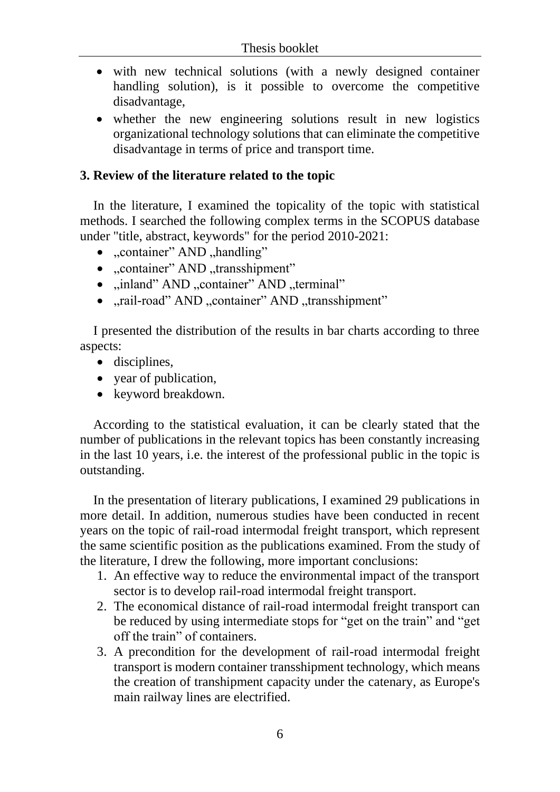- with new technical solutions (with a newly designed container handling solution), is it possible to overcome the competitive disadvantage,
- whether the new engineering solutions result in new logistics organizational technology solutions that can eliminate the competitive disadvantage in terms of price and transport time.

#### **3. Review of the literature related to the topic**

In the literature, I examined the topicality of the topic with statistical methods. I searched the following complex terms in the SCOPUS database under "title, abstract, keywords" for the period 2010-2021:

- "container" AND "handling"
- "container" AND "transshipment"
- "inland" AND "container" AND "terminal"
- "rail-road" AND "container" AND "transshipment"

I presented the distribution of the results in bar charts according to three aspects:

- disciplines,
- year of publication,
- keyword breakdown.

According to the statistical evaluation, it can be clearly stated that the number of publications in the relevant topics has been constantly increasing in the last 10 years, i.e. the interest of the professional public in the topic is outstanding.

In the presentation of literary publications, I examined 29 publications in more detail. In addition, numerous studies have been conducted in recent years on the topic of rail-road intermodal freight transport, which represent the same scientific position as the publications examined. From the study of the literature, I drew the following, more important conclusions:

- 1. An effective way to reduce the environmental impact of the transport sector is to develop rail-road intermodal freight transport.
- 2. The economical distance of rail-road intermodal freight transport can be reduced by using intermediate stops for "get on the train" and "get off the train" of containers.
- 3. A precondition for the development of rail-road intermodal freight transport is modern container transshipment technology, which means the creation of transhipment capacity under the catenary, as Europe's main railway lines are electrified.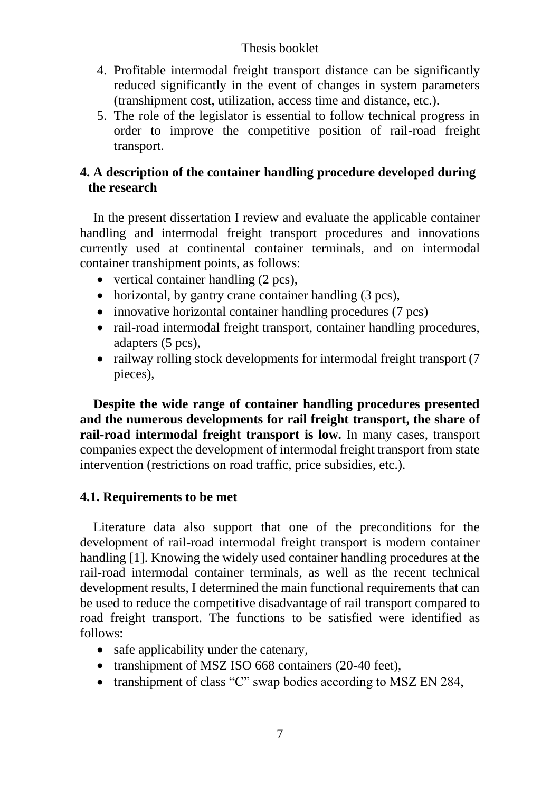- 4. Profitable intermodal freight transport distance can be significantly reduced significantly in the event of changes in system parameters (transhipment cost, utilization, access time and distance, etc.).
- 5. The role of the legislator is essential to follow technical progress in order to improve the competitive position of rail-road freight transport.

# **4. A description of the container handling procedure developed during the research**

In the present dissertation I review and evaluate the applicable container handling and intermodal freight transport procedures and innovations currently used at continental container terminals, and on intermodal container transhipment points, as follows:

- vertical container handling (2 pcs),
- horizontal, by gantry crane container handling (3 pcs),
- innovative horizontal container handling procedures (7 pcs)
- rail-road intermodal freight transport, container handling procedures, adapters (5 pcs),
- railway rolling stock developments for intermodal freight transport (7) pieces),

**Despite the wide range of container handling procedures presented and the numerous developments for rail freight transport, the share of rail-road intermodal freight transport is low.** In many cases, transport companies expect the development of intermodal freight transport from state intervention (restrictions on road traffic, price subsidies, etc.).

#### **4.1. Requirements to be met**

Literature data also support that one of the preconditions for the development of rail-road intermodal freight transport is modern container handling [1]. Knowing the widely used container handling procedures at the rail-road intermodal container terminals, as well as the recent technical development results, I determined the main functional requirements that can be used to reduce the competitive disadvantage of rail transport compared to road freight transport. The functions to be satisfied were identified as follows:

- safe applicability under the catenary,
- transhipment of MSZ ISO 668 containers (20-40 feet),
- transhipment of class "C" swap bodies according to MSZ EN 284,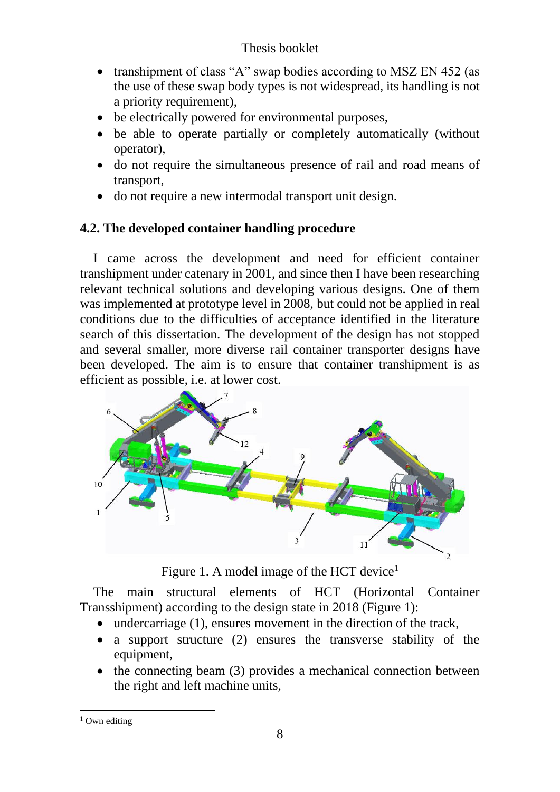- transhipment of class "A" swap bodies according to MSZ EN 452 (as the use of these swap body types is not widespread, its handling is not a priority requirement),
- be electrically powered for environmental purposes,
- be able to operate partially or completely automatically (without operator),
- do not require the simultaneous presence of rail and road means of transport,
- do not require a new intermodal transport unit design.

# **4.2. The developed container handling procedure**

I came across the development and need for efficient container transhipment under catenary in 2001, and since then I have been researching relevant technical solutions and developing various designs. One of them was implemented at prototype level in 2008, but could not be applied in real conditions due to the difficulties of acceptance identified in the literature search of this dissertation. The development of the design has not stopped and several smaller, more diverse rail container transporter designs have been developed. The aim is to ensure that container transhipment is as efficient as possible, i.e. at lower cost.



Figure 1. A model image of the HCT device<sup>1</sup>

The main structural elements of HCT (Horizontal Container Transshipment) according to the design state in 2018 (Figure 1):

- undercarriage (1), ensures movement in the direction of the track,
- a support structure (2) ensures the transverse stability of the equipment,
- the connecting beam (3) provides a mechanical connection between the right and left machine units,

 $1$  Own editing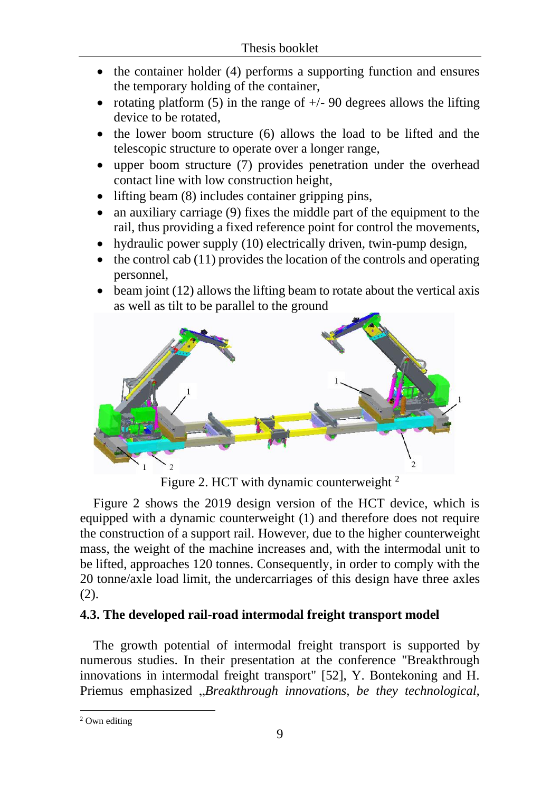- the container holder (4) performs a supporting function and ensures the temporary holding of the container,
- rotating platform (5) in the range of  $+/-$  90 degrees allows the lifting device to be rotated,
- the lower boom structure (6) allows the load to be lifted and the telescopic structure to operate over a longer range,
- upper boom structure (7) provides penetration under the overhead contact line with low construction height,
- lifting beam (8) includes container gripping pins,
- an auxiliary carriage (9) fixes the middle part of the equipment to the rail, thus providing a fixed reference point for control the movements,
- hydraulic power supply (10) electrically driven, twin-pump design,
- $\bullet$  the control cab (11) provides the location of the controls and operating personnel,
- beam joint (12) allows the lifting beam to rotate about the vertical axis as well as tilt to be parallel to the ground



Figure 2. HCT with dynamic counterweight <sup>2</sup>

Figure 2 shows the 2019 design version of the HCT device, which is equipped with a dynamic counterweight (1) and therefore does not require the construction of a support rail. However, due to the higher counterweight mass, the weight of the machine increases and, with the intermodal unit to be lifted, approaches 120 tonnes. Consequently, in order to comply with the 20 tonne/axle load limit, the undercarriages of this design have three axles (2).

## **4.3. The developed rail-road intermodal freight transport model**

The growth potential of intermodal freight transport is supported by numerous studies. In their presentation at the conference "Breakthrough innovations in intermodal freight transport" [52], Y. Bontekoning and H. Priemus emphasized "*Breakthrough innovations*, *be they technological*,

<sup>&</sup>lt;sup>2</sup> Own editing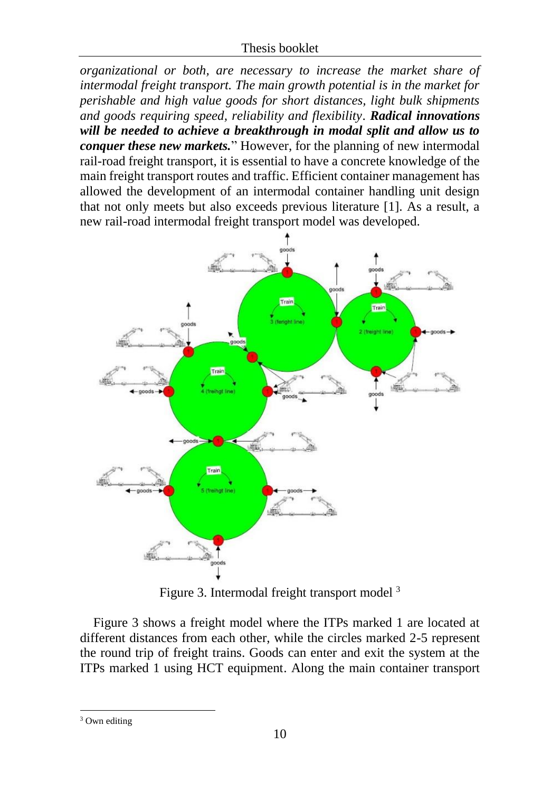#### Thesis booklet

*organizational or both, are necessary to increase the market share of intermodal freight transport. The main growth potential is in the market for perishable and high value goods for short distances, light bulk shipments and goods requiring speed, reliability and flexibility*. *Radical innovations will be needed to achieve a breakthrough in modal split and allow us to conquer these new markets.*" However, for the planning of new intermodal rail-road freight transport, it is essential to have a concrete knowledge of the main freight transport routes and traffic. Efficient container management has allowed the development of an intermodal container handling unit design that not only meets but also exceeds previous literature [1]. As a result, a new rail-road intermodal freight transport model was developed.



Figure 3. Intermodal freight transport model <sup>3</sup>

Figure 3 shows a freight model where the ITPs marked 1 are located at different distances from each other, while the circles marked 2-5 represent the round trip of freight trains. Goods can enter and exit the system at the ITPs marked 1 using HCT equipment. Along the main container transport

<sup>&</sup>lt;sup>3</sup> Own editing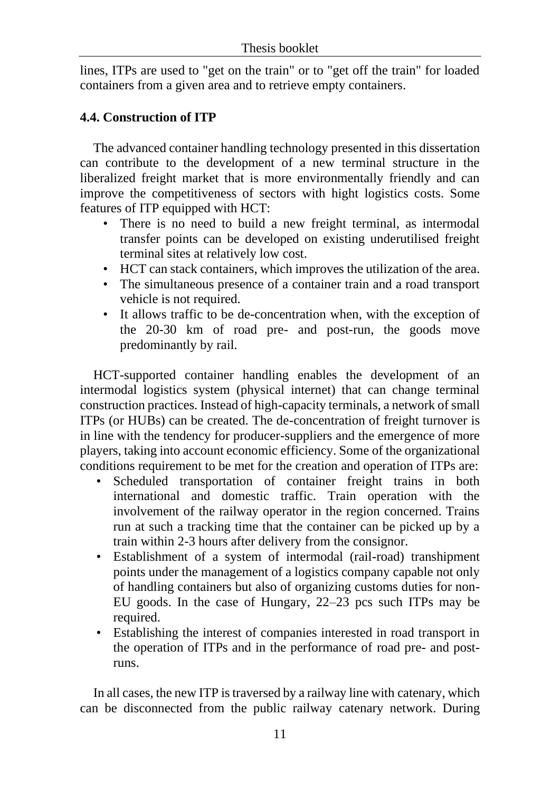lines, ITPs are used to "get on the train" or to "get off the train" for loaded containers from a given area and to retrieve empty containers.

# **4.4. Construction of ITP**

The advanced container handling technology presented in this dissertation can contribute to the development of a new terminal structure in the liberalized freight market that is more environmentally friendly and can improve the competitiveness of sectors with hight logistics costs. Some features of ITP equipped with HCT:

- There is no need to build a new freight terminal, as intermodal transfer points can be developed on existing underutilised freight terminal sites at relatively low cost.
- HCT can stack containers, which improves the utilization of the area.
- The simultaneous presence of a container train and a road transport vehicle is not required.
- It allows traffic to be de-concentration when, with the exception of the 20-30 km of road pre- and post-run, the goods move predominantly by rail.

HCT-supported container handling enables the development of an intermodal logistics system (physical internet) that can change terminal construction practices. Instead of high-capacity terminals, a network of small ITPs (or HUBs) can be created. The de-concentration of freight turnover is in line with the tendency for producer-suppliers and the emergence of more players, taking into account economic efficiency. Some of the organizational conditions requirement to be met for the creation and operation of ITPs are:

- Scheduled transportation of container freight trains in both international and domestic traffic. Train operation with the involvement of the railway operator in the region concerned. Trains run at such a tracking time that the container can be picked up by a train within 2-3 hours after delivery from the consignor.
- Establishment of a system of intermodal (rail-road) transhipment points under the management of a logistics company capable not only of handling containers but also of organizing customs duties for non-EU goods. In the case of Hungary, 22–23 pcs such ITPs may be required.
- Establishing the interest of companies interested in road transport in the operation of ITPs and in the performance of road pre- and postruns.

In all cases, the new ITP is traversed by a railway line with catenary, which can be disconnected from the public railway catenary network. During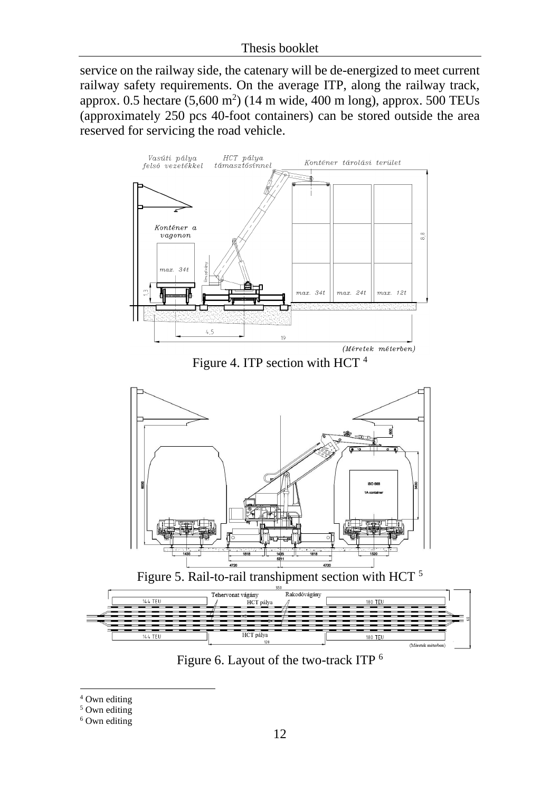#### Thesis booklet

service on the railway side, the catenary will be de-energized to meet current railway safety requirements. On the average ITP, along the railway track, approx. 0.5 hectare  $(5,600 \text{ m}^2)$  (14 m wide, 400 m long), approx. 500 TEUs (approximately 250 pcs 40-foot containers) can be stored outside the area reserved for servicing the road vehicle.



Figure 4. ITP section with HCT <sup>4</sup>





Figure 6. Layout of the two-track ITP <sup>6</sup>

<sup>&</sup>lt;sup>4</sup> Own editing

<sup>&</sup>lt;sup>5</sup> Own editing

<sup>&</sup>lt;sup>6</sup> Own editing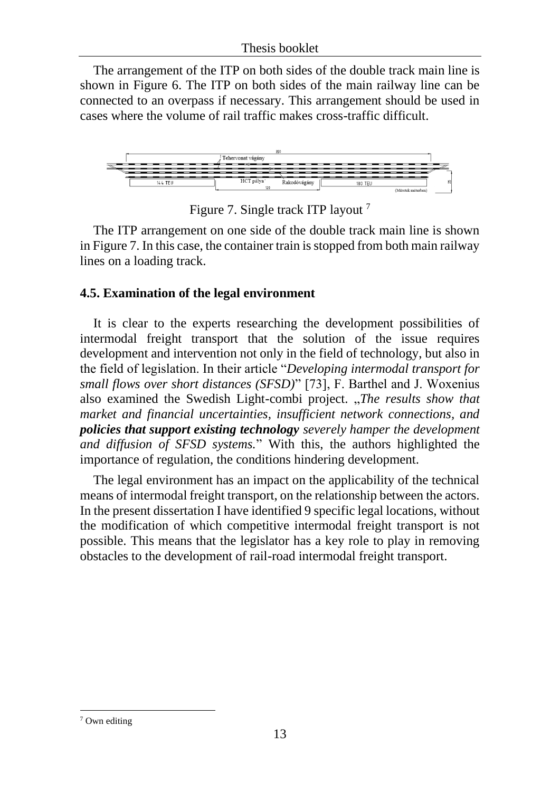The arrangement of the ITP on both sides of the double track main line is shown in Figure 6. The ITP on both sides of the main railway line can be connected to an overpass if necessary. This arrangement should be used in cases where the volume of rail traffic makes cross-traffic difficult.



Figure 7. Single track ITP layout <sup>7</sup>

The ITP arrangement on one side of the double track main line is shown in Figure 7. In this case, the container train is stopped from both main railway lines on a loading track.

## **4.5. Examination of the legal environment**

It is clear to the experts researching the development possibilities of intermodal freight transport that the solution of the issue requires development and intervention not only in the field of technology, but also in the field of legislation. In their article "*Developing intermodal transport for small flows over short distances (SFSD)*" [73], F. Barthel and J. Woxenius also examined the Swedish Light-combi project. "*The results show that market and financial uncertainties, insufficient network connections, and policies that support existing technology severely hamper the development and diffusion of SFSD systems.*" With this, the authors highlighted the importance of regulation, the conditions hindering development.

The legal environment has an impact on the applicability of the technical means of intermodal freight transport, on the relationship between the actors. In the present dissertation I have identified 9 specific legal locations, without the modification of which competitive intermodal freight transport is not possible. This means that the legislator has a key role to play in removing obstacles to the development of rail-road intermodal freight transport.

<sup>7</sup> Own editing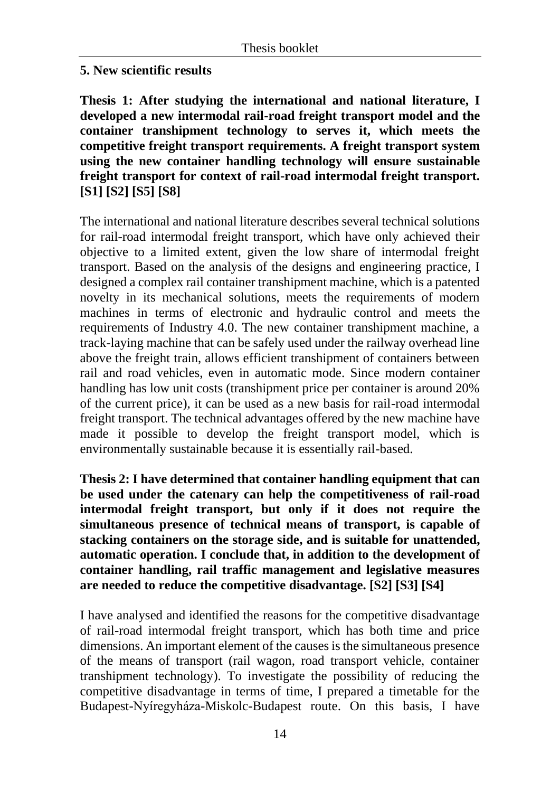## **5. New scientific results**

**Thesis 1: After studying the international and national literature, I developed a new intermodal rail-road freight transport model and the container transhipment technology to serves it, which meets the competitive freight transport requirements. A freight transport system using the new container handling technology will ensure sustainable freight transport for context of rail-road intermodal freight transport. [S1] [S2] [S5] [S8]**

The international and national literature describes several technical solutions for rail-road intermodal freight transport, which have only achieved their objective to a limited extent, given the low share of intermodal freight transport. Based on the analysis of the designs and engineering practice, I designed a complex rail container transhipment machine, which is a patented novelty in its mechanical solutions, meets the requirements of modern machines in terms of electronic and hydraulic control and meets the requirements of Industry 4.0. The new container transhipment machine, a track-laying machine that can be safely used under the railway overhead line above the freight train, allows efficient transhipment of containers between rail and road vehicles, even in automatic mode. Since modern container handling has low unit costs (transhipment price per container is around 20% of the current price), it can be used as a new basis for rail-road intermodal freight transport. The technical advantages offered by the new machine have made it possible to develop the freight transport model, which is environmentally sustainable because it is essentially rail-based.

**Thesis 2: I have determined that container handling equipment that can be used under the catenary can help the competitiveness of rail-road intermodal freight transport, but only if it does not require the simultaneous presence of technical means of transport, is capable of stacking containers on the storage side, and is suitable for unattended, automatic operation. I conclude that, in addition to the development of container handling, rail traffic management and legislative measures are needed to reduce the competitive disadvantage. [S2] [S3] [S4]**

I have analysed and identified the reasons for the competitive disadvantage of rail-road intermodal freight transport, which has both time and price dimensions. An important element of the causes is the simultaneous presence of the means of transport (rail wagon, road transport vehicle, container transhipment technology). To investigate the possibility of reducing the competitive disadvantage in terms of time, I prepared a timetable for the Budapest-Nyíregyháza-Miskolc-Budapest route. On this basis, I have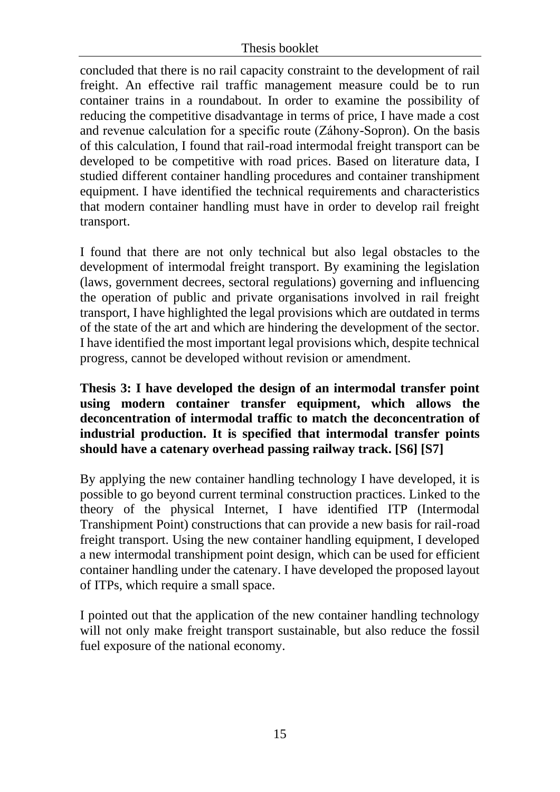#### Thesis booklet

concluded that there is no rail capacity constraint to the development of rail freight. An effective rail traffic management measure could be to run container trains in a roundabout. In order to examine the possibility of reducing the competitive disadvantage in terms of price, I have made a cost and revenue calculation for a specific route (Záhony-Sopron). On the basis of this calculation, I found that rail-road intermodal freight transport can be developed to be competitive with road prices. Based on literature data, I studied different container handling procedures and container transhipment equipment. I have identified the technical requirements and characteristics that modern container handling must have in order to develop rail freight transport.

I found that there are not only technical but also legal obstacles to the development of intermodal freight transport. By examining the legislation (laws, government decrees, sectoral regulations) governing and influencing the operation of public and private organisations involved in rail freight transport, I have highlighted the legal provisions which are outdated in terms of the state of the art and which are hindering the development of the sector. I have identified the most important legal provisions which, despite technical progress, cannot be developed without revision or amendment.

#### **Thesis 3: I have developed the design of an intermodal transfer point using modern container transfer equipment, which allows the deconcentration of intermodal traffic to match the deconcentration of industrial production. It is specified that intermodal transfer points should have a catenary overhead passing railway track. [S6] [S7]**

By applying the new container handling technology I have developed, it is possible to go beyond current terminal construction practices. Linked to the theory of the physical Internet, I have identified ITP (Intermodal Transhipment Point) constructions that can provide a new basis for rail-road freight transport. Using the new container handling equipment, I developed a new intermodal transhipment point design, which can be used for efficient container handling under the catenary. I have developed the proposed layout of ITPs, which require a small space.

I pointed out that the application of the new container handling technology will not only make freight transport sustainable, but also reduce the fossil fuel exposure of the national economy.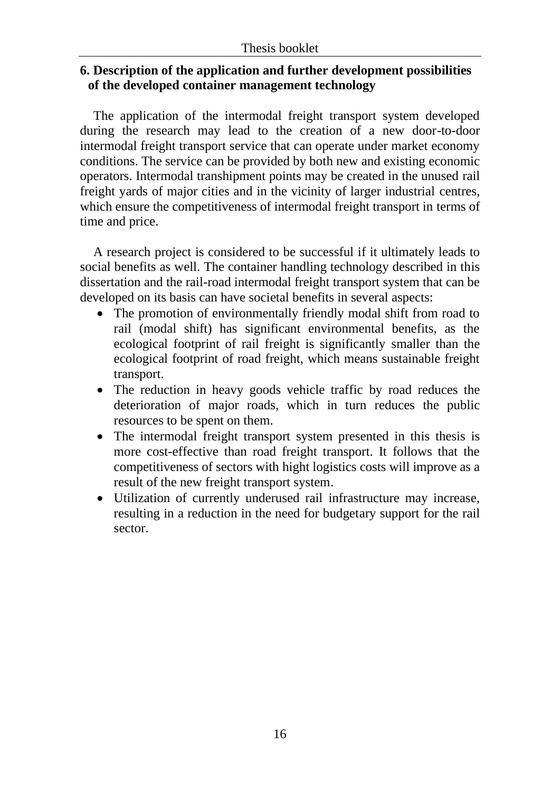## **6. Description of the application and further development possibilities of the developed container management technology**

The application of the intermodal freight transport system developed during the research may lead to the creation of a new door-to-door intermodal freight transport service that can operate under market economy conditions. The service can be provided by both new and existing economic operators. Intermodal transhipment points may be created in the unused rail freight yards of major cities and in the vicinity of larger industrial centres, which ensure the competitiveness of intermodal freight transport in terms of time and price.

A research project is considered to be successful if it ultimately leads to social benefits as well. The container handling technology described in this dissertation and the rail-road intermodal freight transport system that can be developed on its basis can have societal benefits in several aspects:

- The promotion of environmentally friendly modal shift from road to rail (modal shift) has significant environmental benefits, as the ecological footprint of rail freight is significantly smaller than the ecological footprint of road freight, which means sustainable freight transport.
- The reduction in heavy goods vehicle traffic by road reduces the deterioration of major roads, which in turn reduces the public resources to be spent on them.
- The intermodal freight transport system presented in this thesis is more cost-effective than road freight transport. It follows that the competitiveness of sectors with hight logistics costs will improve as a result of the new freight transport system.
- Utilization of currently underused rail infrastructure may increase, resulting in a reduction in the need for budgetary support for the rail sector.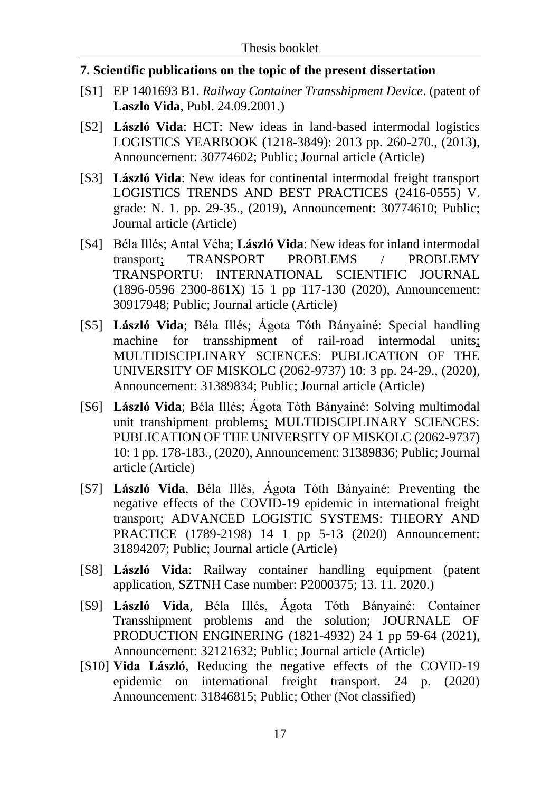#### **7. Scientific publications on the topic of the present dissertation**

- [S1] EP 1401693 B1. *Railway Container Transshipment Device*. (patent of **Laszlo Vida**, Publ. 24.09.2001.)
- [S2] **László Vida**: HCT: New ideas in land-based intermodal logistics LOGISTICS YEARBOOK (1218-3849): 2013 pp. 260-270., (2013), Announcement: 30774602; Public; Journal article (Article)
- [S3] **László Vida**: New ideas for continental intermodal freight transport LOGISTICS TRENDS AND BEST PRACTICES (2416-0555) V. grade: N. 1. pp. 29-35., (2019), Announcement: 30774610; Public; Journal article (Article)
- [S4] Béla Illés; Antal Véha; **László Vida**: New ideas for inland intermodal transport; TRANSPORT PROBLEMS / PROBLEMY TRANSPORTU: INTERNATIONAL SCIENTIFIC JOURNAL (1896-0596 2300-861X) 15 1 pp 117-130 (2020), Announcement: 30917948; Public; Journal article (Article)
- [S5] **László Vida**; Béla Illés; Ágota Tóth Bányainé: Special handling machine for transshipment of rail-road intermodal units; MULTIDISCIPLINARY SCIENCES: PUBLICATION OF THE UNIVERSITY OF MISKOLC (2062-9737) 10: 3 pp. 24-29., (2020), Announcement: 31389834; Public; Journal article (Article)
- [S6] **László Vida**; Béla Illés; Ágota Tóth Bányainé: Solving multimodal unit transhipment problems; MULTIDISCIPLINARY SCIENCES: PUBLICATION OF THE UNIVERSITY OF MISKOLC (2062-9737) 10: 1 pp. 178-183., (2020), Announcement: 31389836; Public; Journal article (Article)
- [S7] **László Vida**, Béla Illés, Ágota Tóth Bányainé: Preventing the negative effects of the COVID-19 epidemic in international freight transport; ADVANCED LOGISTIC SYSTEMS: THEORY AND PRACTICE (1789-2198) 14 1 pp 5-13 (2020) Announcement: 31894207; Public; Journal article (Article)
- [S8] **László Vida**: Railway container handling equipment (patent application, SZTNH Case number: P2000375; 13. 11. 2020.)
- [S9] **László Vida**, Béla Illés, Ágota Tóth Bányainé: Container Transshipment problems and the solution; JOURNALE OF PRODUCTION ENGINERING (1821-4932) 24 1 pp 59-64 (2021), Announcement: 32121632; Public; Journal article (Article)
- [S10] **Vida László**, Reducing the negative effects of the COVID-19 epidemic on international freight transport. 24 p. (2020) Announcement: 31846815; Public; Other (Not classified)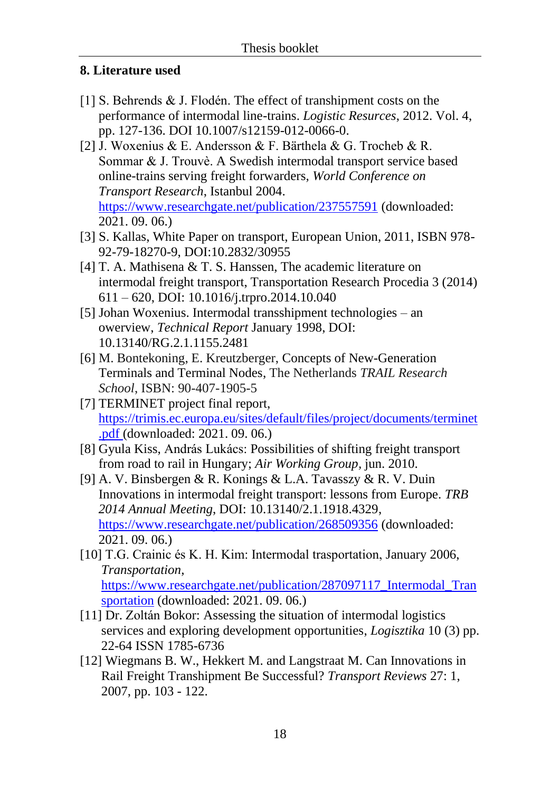# **8. Literature used**

- [1] S. Behrends & J. Flodén. The effect of transhipment costs on the performance of intermodal line-trains. *Logistic Resurces*, 2012. Vol. 4, pp. 127-136. DOI 10.1007/s12159-012-0066-0.
- [2] J. Woxenius & E. Andersson & F. Bärthela & G. Trocheb & R. Sommar & J. Trouvè. A Swedish intermodal transport service based online-trains serving freight forwarders, *World Conference on Transport Research*, Istanbul 2004. <https://www.researchgate.net/publication/237557591> (downloaded: 2021. 09. 06.)
- [3] S. Kallas, White Paper on transport, European Union, 2011, ISBN 978- 92-79-18270-9, DOI:10.2832/30955
- [4] T. A. Mathisena & T. S. Hanssen, The academic literature on intermodal freight transport, Transportation Research Procedia 3 (2014) 611 – 620, DOI: 10.1016/j.trpro.2014.10.040
- [5] Johan Woxenius. Intermodal transshipment technologies an owerview, *Technical Report* January 1998, DOI: 10.13140/RG.2.1.1155.2481
- [6] M. Bontekoning, E. Kreutzberger, Concepts of New-Generation Terminals and Terminal Nodes, The Netherlands *TRAIL Research School*, ISBN: 90-407-1905-5
- [7] TERMINET project final report, [https://trimis.ec.europa.eu/sites/default/files/project/documents/terminet](https://trimis.ec.europa.eu/sites/default/files/project/documents/terminet.pdf) [.pdf](https://trimis.ec.europa.eu/sites/default/files/project/documents/terminet.pdf) (downloaded: 2021. 09. 06.)
- [8] Gyula Kiss, András Lukács: Possibilities of shifting freight transport from road to rail in Hungary; *Air Working Group,* jun. 2010.
- [9] A. V. Binsbergen & R. Konings & L.A. Tavasszy & R. V. Duin Innovations in intermodal freight transport: lessons from Europe. *TRB 2014 Annual Meeting*, DOI: 10.13140/2.1.1918.4329, <https://www.researchgate.net/publication/268509356> (downloaded: 2021. 09. 06.)
- [10] T.G. Crainic és K. H. Kim: Intermodal trasportation, January 2006, *[Transportation](https://www.researchgate.net/journal/Transportation-1572-9435)*, [https://www.researchgate.net/publication/287097117\\_Intermodal\\_Tran](https://www.researchgate.net/publication/287097117_Intermodal_Transportation) [sportation](https://www.researchgate.net/publication/287097117_Intermodal_Transportation) (downloaded: 2021. 09. 06.)
- [11] Dr. Zoltán Bokor: Assessing the situation of intermodal logistics services and exploring development opportunities, *Logisztika* 10 (3) pp. 22-64 ISSN 1785-6736
- [12] Wiegmans B. W., Hekkert M. and Langstraat M. Can Innovations in Rail Freight Transhipment Be Successful? *Transport Reviews* 27: 1, 2007, pp. 103 - 122.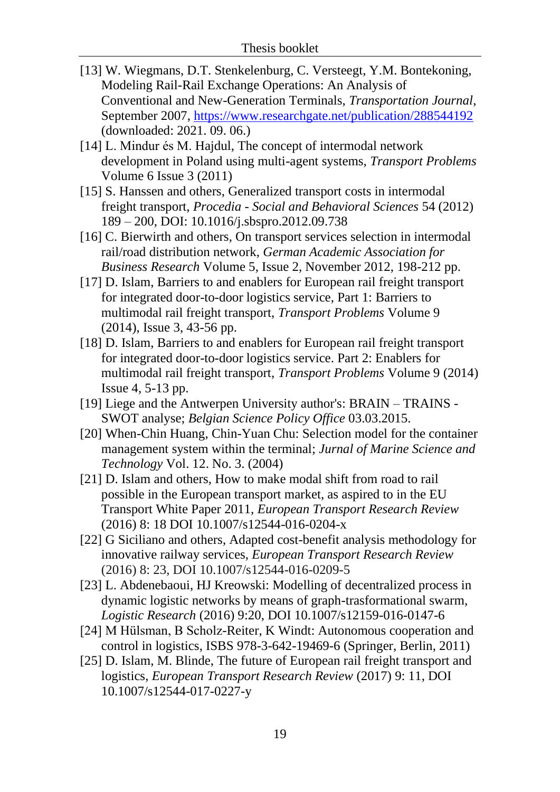- [13] W. Wiegmans, D.T. Stenkelenburg, C. Versteegt, Y.M. Bontekoning, Modeling Rail-Rail Exchange Operations: An Analysis of Conventional and New-Generation Terminals, *Transportation Journal*, September 2007,<https://www.researchgate.net/publication/288544192> (downloaded: 2021. 09. 06.)
- [14] L. Mindur és M. Hajdul, The concept of intermodal network development in Poland using multi-agent systems, *Transport Problems* Volume 6 Issue 3 (2011)
- [15] S. Hanssen and others, Generalized transport costs in intermodal freight transport, *Procedia - Social and Behavioral Sciences* 54 (2012) 189 – 200, DOI: 10.1016/j.sbspro.2012.09.738
- [16] C. Bierwirth and others, On transport services selection in intermodal rail/road distribution network, *German Academic Association for Business Research* Volume 5, Issue 2, November 2012, 198-212 pp.
- [17] D. Islam, Barriers to and enablers for European rail freight transport for integrated door-to-door logistics service, Part 1: Barriers to multimodal rail freight transport, *Transport Problems* Volume 9 (2014), Issue 3, 43-56 pp.
- [18] D. Islam, Barriers to and enablers for European rail freight transport for integrated door-to-door logistics service. Part 2: Enablers for multimodal rail freight transport, *Transport Problems* Volume 9 (2014) Issue 4, 5-13 pp.
- [19] Liege and the Antwerpen University author's: BRAIN TRAINS SWOT analyse; *Belgian Science Policy Office* 03.03.2015.
- [20] When-Chin Huang, Chin-Yuan Chu: Selection model for the container management system within the terminal; *Jurnal of Marine Science and Technology* Vol. 12. No. 3. (2004)
- [21] D. Islam and others, How to make modal shift from road to rail possible in the European transport market, as aspired to in the EU Transport White Paper 2011, *European Transport Research Review* (2016) 8: 18 DOI 10.1007/s12544-016-0204-x
- [22] G Siciliano and others, Adapted cost-benefit analysis methodology for innovative railway services, *European Transport Research Review* (2016) 8: 23, DOI 10.1007/s12544-016-0209-5
- [23] L. Abdenebaoui, HJ Kreowski: Modelling of decentralized process in dynamic logistic networks by means of graph-trasformational swarm, *Logistic Research* (2016) 9:20, DOI 10.1007/s12159-016-0147-6
- [24] M Hülsman, B Scholz-Reiter, K Windt: Autonomous cooperation and control in logistics, ISBS 978-3-642-19469-6 (Springer, Berlin, 2011)
- [25] D. Islam, M. Blinde, The future of European rail freight transport and logistics, *European Transport Research Review* (2017) 9: 11, DOI 10.1007/s12544-017-0227-y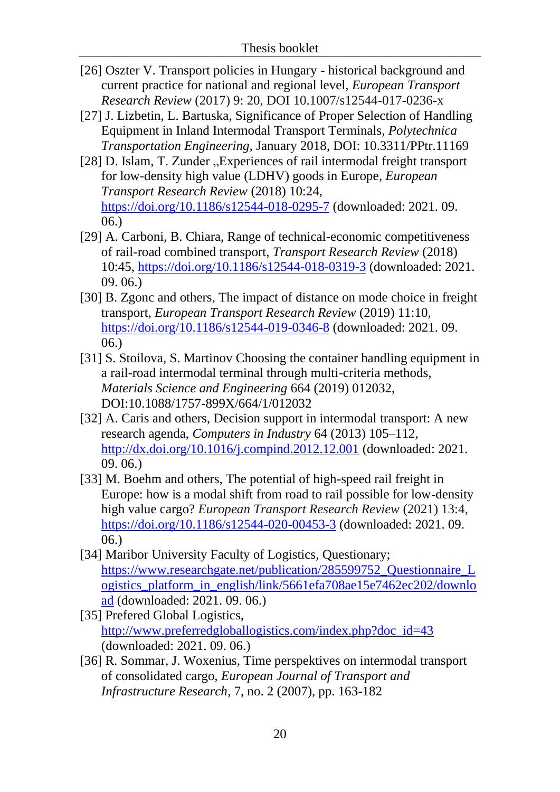- [26] Oszter V. Transport policies in Hungary historical background and current practice for national and regional level, *European Transport Research Review* (2017) 9: 20, DOI 10.1007/s12544-017-0236-x
- [27] J. Lizbetin, L. Bartuska, Significance of Proper Selection of Handling Equipment in Inland Intermodal Transport Terminals, *Polytechnica Transportation Engineering*, January 2018, DOI: 10.3311/PPtr.11169
- [28] D. Islam, T. Zunder "Experiences of rail intermodal freight transport [for low-density high value \(LDHV\) goods in Europe,](https://etrr.springeropen.com/articles/10.1186/s12544-018-0295-7) *European Transport Research Review* (2018) 10:24, <https://doi.org/10.1186/s12544-018-0295-7> (downloaded: 2021. 09. 06.)
- [29] A. Carboni, B. Chiara, Range of technical-economic competitiveness of rail-road combined transport, *Transport Research Review* (2018) 10:45,<https://doi.org/10.1186/s12544-018-0319-3> (downloaded: 2021. 09. 06.)
- [30] B. Zgonc and others, The impact of distance on mode choice in freight transport, *European Transport Research Review* (2019) 11:10, <https://doi.org/10.1186/s12544-019-0346-8> (downloaded: 2021. 09. 06.)
- [31] S. Stoilova, S. Martinov Choosing the container handling equipment in a rail-road intermodal terminal through multi-criteria methods, *Materials Science and Engineering* 664 (2019) 012032, DOI:10.1088/1757-899X/664/1/012032
- [32] A. Caris and others, Decision support in intermodal transport: A new research agenda, *Computers in Industry* 64 (2013) 105–112, <http://dx.doi.org/10.1016/j.compind.2012.12.001> (downloaded: 2021. 09. 06.)
- [33] M. Boehm and others, The potential of high-speed rail freight in Europe: how is a modal shift from road to rail possible for low-density high value cargo? *European Transport Research Review* (2021) 13:4, <https://doi.org/10.1186/s12544-020-00453-3> (downloaded: 2021. 09. 06.)
- [34] Maribor University Faculty of Logistics, Questionary; [https://www.researchgate.net/publication/285599752\\_Questionnaire\\_L](https://www.researchgate.net/publication/285599752_Questionnaire_Logistics_platform_in_english/link/5661efa708ae15e7462ec202/download) [ogistics\\_platform\\_in\\_english/link/5661efa708ae15e7462ec202/downlo](https://www.researchgate.net/publication/285599752_Questionnaire_Logistics_platform_in_english/link/5661efa708ae15e7462ec202/download) [ad](https://www.researchgate.net/publication/285599752_Questionnaire_Logistics_platform_in_english/link/5661efa708ae15e7462ec202/download) (downloaded: 2021. 09. 06.)
- [35] Prefered Global Logistics, [http://www.preferredgloballogistics.com/index.php?doc\\_id=43](http://www.preferredgloballogistics.com/index.php?doc_id=43) (downloaded: 2021. 09. 06.)
- [36] R. Sommar, J. Woxenius, Time perspektives on intermodal transport of consolidated cargo, *European Journal of Transport and Infrastructure Research*, 7, no. 2 (2007), pp. 163-182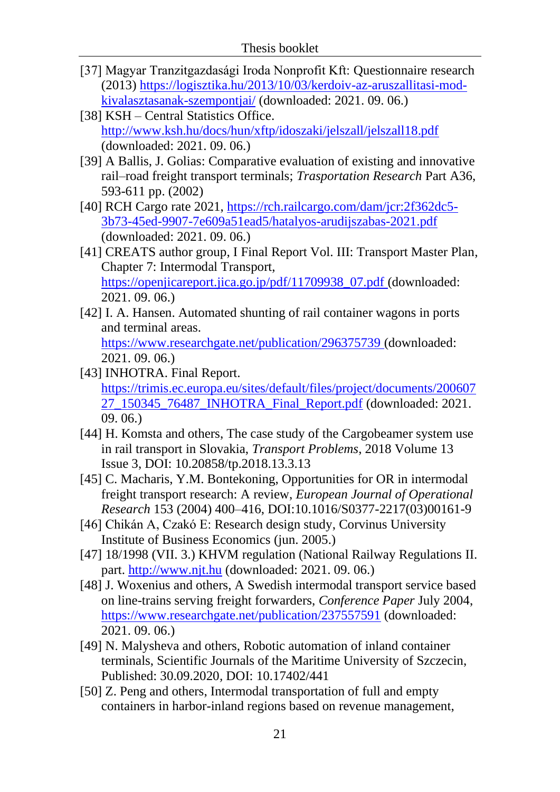- [37] Magyar Tranzitgazdasági Iroda Nonprofit Kft: Questionnaire research (2013) [https://logisztika.hu/2013/10/03/kerdoiv-az-aruszallitasi-mod](https://logisztika.hu/2013/10/03/kerdoiv-az-aruszallitasi-mod-kivalasztasanak-szempontjai/)[kivalasztasanak-szempontjai/](https://logisztika.hu/2013/10/03/kerdoiv-az-aruszallitasi-mod-kivalasztasanak-szempontjai/) (downloaded: 2021. 09. 06.)
- [38] KSH Central Statistics Office. <http://www.ksh.hu/docs/hun/xftp/idoszaki/jelszall/jelszall18.pdf> (downloaded: 2021. 09. 06.)
- [39] A Ballis, J. Golias: Comparative evaluation of existing and innovative rail–road freight transport terminals; *Trasportation Research* Part A36, 593-611 pp. (2002)
- [40] RCH Cargo rate 2021, [https://rch.railcargo.com/dam/jcr:2f362dc5-](https://rch.railcargo.com/dam/jcr:2f362dc5-3b73-45ed-9907-7e609a51ead5/hatalyos-arudijszabas-2021.pdf) [3b73-45ed-9907-7e609a51ead5/hatalyos-arudijszabas-2021.pdf](https://rch.railcargo.com/dam/jcr:2f362dc5-3b73-45ed-9907-7e609a51ead5/hatalyos-arudijszabas-2021.pdf) (downloaded: 2021. 09. 06.)
- [41] CREATS author group, I Final Report Vol. III: Transport Master Plan, Chapter 7: Intermodal Transport, [https://openjicareport.jica.go.jp/pdf/11709938\\_07.pdf](https://openjicareport.jica.go.jp/pdf/11709938_07.pdf) (downloaded: 2021. 09. 06.)
- [42] I. A. Hansen. Automated shunting of rail container wagons in ports and terminal areas.

<https://www.researchgate.net/publication/296375739> (downloaded: 2021. 09. 06.)

- [43] INHOTRA. Final Report. [https://trimis.ec.europa.eu/sites/default/files/project/documents/200607](https://trimis.ec.europa.eu/sites/default/files/project/documents/20060727_150345_76487_INHOTRA_Final_Report.pdf) [27\\_150345\\_76487\\_INHOTRA\\_Final\\_Report.pdf](https://trimis.ec.europa.eu/sites/default/files/project/documents/20060727_150345_76487_INHOTRA_Final_Report.pdf) (downloaded: 2021. 09. 06.)
- [44] H. Komsta and others, The case study of the Cargobeamer system use in rail transport in Slovakia, *Transport Problems*, 2018 Volume 13 Issue 3, DOI: 10.20858/tp.2018.13.3.13
- [45] C. Macharis, Y.M. Bontekoning, Opportunities for OR in intermodal freight transport research: A review, *European Journal of Operational Research* 153 (2004) 400–416, DOI:10.1016/S0377-2217(03)00161-9
- [46] Chikán A, Czakó E: Research design study, Corvinus University Institute of Business Economics (jun. 2005.)
- [47] 18/1998 (VII. 3.) KHVM regulation (National Railway Regulations II. part. [http://www.njt.hu](http://www.njt.hu/) (downloaded: 2021. 09. 06.)
- [48] J. Woxenius and others, A Swedish intermodal transport service based on line-trains serving freight forwarders, *Conference Paper* July 2004, <https://www.researchgate.net/publication/237557591> (downloaded: 2021. 09. 06.)
- [49] N. Malysheva and others, Robotic automation of inland container terminals, Scientific Journals of the Maritime University of Szczecin, Published: 30.09.2020*,* DOI: 10.17402/441
- [50] Z. Peng and others, Intermodal transportation of full and empty containers in harbor-inland regions based on revenue management,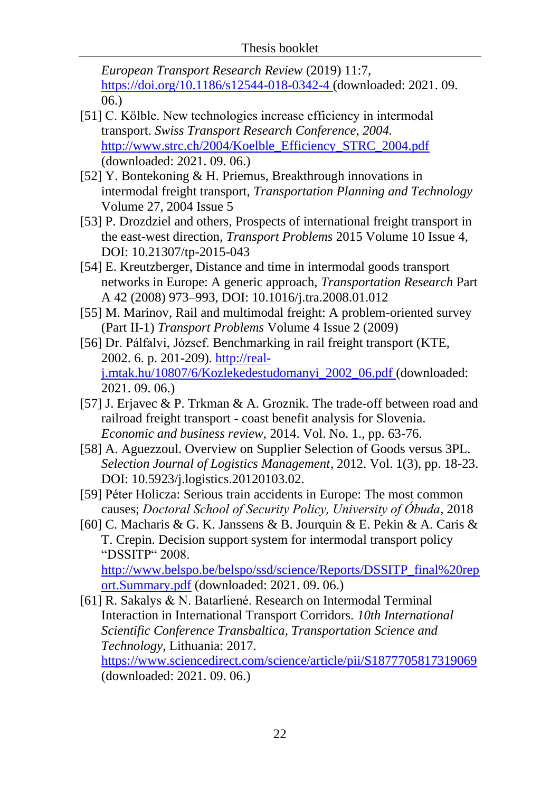*European Transport Research Review* (2019) 11:7, <https://doi.org/10.1186/s12544-018-0342-4> (downloaded: 2021. 09. 06.)

- [51] C. Kölble. New technologies increase efficiency in intermodal transport. *Swiss Transport Research Conference, 2004.* [http://www.strc.ch/2004/Koelble\\_Efficiency\\_STRC\\_2004.pdf](http://www.strc.ch/2004/Koelble_Efficiency_STRC_2004.pdf) (downloaded: 2021. 09. 06.)
- [52] Y. Bontekoning & H. Priemus, Breakthrough innovations in intermodal freight transport, *Transportation Planning and Technology* Volume 27, 2004 Issue 5
- [53] P. Drozdziel and others, Prospects of international freight transport in the east-west direction, *Transport Problems* 2015 Volume 10 Issue 4, DOI: 10.21307/tp-2015-043
- [54] E. Kreutzberger, Distance and time in intermodal goods transport networks in Europe: A generic approach, *Transportation Research* Part A 42 (2008) 973–993, DOI: 10.1016/j.tra.2008.01.012
- [55] M. Marinov, Rail and multimodal freight: A problem-oriented survey (Part II-1) *Transport Problems* Volume 4 Issue 2 (2009)
- [56] Dr. Pálfalvi, József. Benchmarking in rail freight transport (KTE, 2002. 6. p. 201-209). [http://real](http://real-j.mtak.hu/10807/6/Kozlekedestudomanyi_2002_06.pdf)[j.mtak.hu/10807/6/Kozlekedestudomanyi\\_2002\\_06.pdf](http://real-j.mtak.hu/10807/6/Kozlekedestudomanyi_2002_06.pdf) (downloaded: 2021. 09. 06.)
- [57] J. Erjavec & P. Trkman & A. Groznik. The trade-off between road and railroad freight transport - coast benefit analysis for Slovenia. *Economic and business review,* 2014. Vol. No. 1., pp. 63-76.
- [58] A. Aguezzoul. Overview on Supplier Selection of Goods versus 3PL. *Selection Journal of Logistics Management*, 2012. Vol. 1(3), pp. 18-23. DOI: 10.5923/j.logistics.20120103.02.
- [59] Péter Holicza: Serious train accidents in Europe: The most common causes; *Doctoral School of Security Policy, University of Óbuda*, 2018
- [60] C. Macharis & G. K. Janssens & B. Jourquin & E. Pekin & A. Caris & T. Crepin. Decision support system for intermodal transport policy "DSSITP" 2008. [http://www.belspo.be/belspo/ssd/science/Reports/DSSITP\\_final%20rep](http://www.belspo.be/belspo/ssd/science/Reports/DSSITP_final%20report.Summary.pdf)

```
ort.Summary.pdf (downloaded: 2021. 09. 06.)
```
[61] R. Sakalys & N. Batarliené. Research on Intermodal Terminal Interaction in International Transport Corridors. *10th International Scientific Conference Transbaltica, Transportation Science and Technology,* Lithuania: 2017. <https://www.sciencedirect.com/science/article/pii/S1877705817319069> (downloaded: 2021. 09. 06.)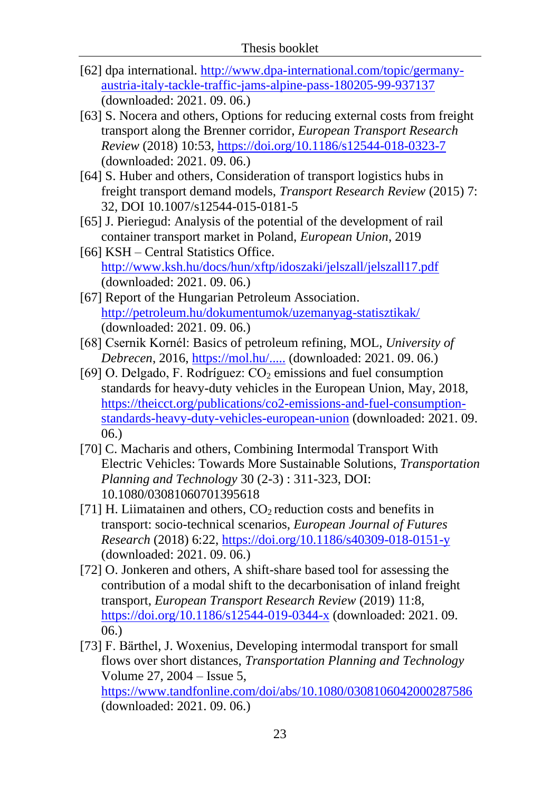- [62] dpa international. [http://www.dpa-international.com/topic/germany](http://www.dpa-international.com/topic/germany-austria-italy-tackle-traffic-jams-alpine-pass-180205-99-937137)[austria-italy-tackle-traffic-jams-alpine-pass-180205-99-937137](http://www.dpa-international.com/topic/germany-austria-italy-tackle-traffic-jams-alpine-pass-180205-99-937137) (downloaded: 2021. 09. 06.)
- [63] S. Nocera and others, [Options for reducing external costs from freight](https://etrr.springeropen.com/articles/10.1186/s12544-018-0323-7)  [transport along the Brenner corridor,](https://etrr.springeropen.com/articles/10.1186/s12544-018-0323-7) *European Transport Research Review* (2018) 10:53,<https://doi.org/10.1186/s12544-018-0323-7> (downloaded: 2021. 09. 06.)
- [64] S. Huber and others, Consideration of transport logistics hubs in freight transport demand models, *Transport Research Review* (2015) 7: 32, DOI 10.1007/s12544-015-0181-5
- [65] J. Pieriegud: Analysis of the potential of the development of rail container transport market in Poland, *European Union*, 2019
- [66] KSH Central Statistics Office. <http://www.ksh.hu/docs/hun/xftp/idoszaki/jelszall/jelszall17.pdf> (downloaded: 2021. 09. 06.)
- [67] Report of the Hungarian Petroleum Association. <http://petroleum.hu/dokumentumok/uzemanyag-statisztikak/> (downloaded: 2021. 09. 06.)
- [68] Csernik Kornél: Basics of petroleum refining, MOL, *University of Debrecen*, 2016, [https://mol.hu/.....](https://mol.hu/images/content/A_MOL_rol/a_tvk-rol/egyetemi_kapcsolatok/debreceni_egyetem/Oktatasi_anyagok/Bemutatok/DE_Koeolajfeldolgozas_2016_10_28.pdf) (downloaded: 2021. 09. 06.)
- [69] O. Delgado, F. Rodríguez:  $CO<sub>2</sub>$  emissions and fuel consumption standards for heavy-duty vehicles in the European Union, May, 2018, [https://theicct.org/publications/co2-emissions-and-fuel-consumption](https://theicct.org/publications/co2-emissions-and-fuel-consumption-standards-heavy-duty-vehicles-european-union)[standards-heavy-duty-vehicles-european-union](https://theicct.org/publications/co2-emissions-and-fuel-consumption-standards-heavy-duty-vehicles-european-union) (downloaded: 2021. 09. 06.)
- [70] [C. Macharis](https://www.tandfonline.com/author/MacHaris%2C+Cathy) and others, Combining Intermodal Transport With Electric Vehicles: Towards More Sustainable Solutions, *Transportation Planning and Technology* 30 (2-3) : 311-323, DOI: 10.1080/03081060701395618
- [71] H. Liimatainen and others,  $CO<sub>2</sub>$  reduction costs and benefits in transport: socio-technical scenarios, *European Journal of Futures Research* (2018) 6:22,<https://doi.org/10.1186/s40309-018-0151-y> (downloaded: 2021. 09. 06.)
- [72] O. Jonkeren and others, A shift-share based tool for assessing the contribution of a modal shift to the decarbonisation of inland freight transport, *European Transport Research Review* (2019) 11:8, <https://doi.org/10.1186/s12544-019-0344-x> (downloaded: 2021. 09. 06.)
- [73] [F. Bärthel,](https://www.tandfonline.com/author/B%C3%A4rthel%2C+Fredrik) [J. Woxenius,](https://www.tandfonline.com/author/Woxenius%2C+Johan) Developing intermodal transport for small flows over short distances, *Transportation Planning and Technology* Volume 27, 2004 – Issue 5, <https://www.tandfonline.com/doi/abs/10.1080/0308106042000287586> (downloaded: 2021. 09. 06.)